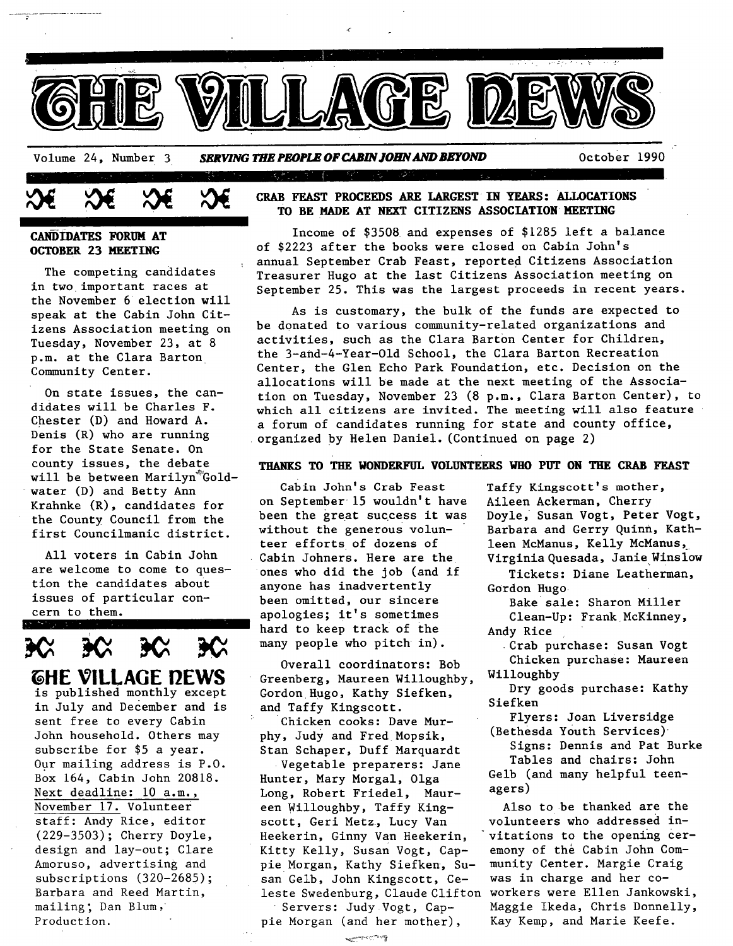

### **CANDIDATES FORUM AT OCTOBER 23 MEETING**

The competing candidates in two important races at the November 6 election will speak at the Cabin John Citizens Association meeting on Tuesday, November 23, at 8 p.m. at the Clara Barton Community Center.

On state issues, the candidates will be Charles F. Chester (D) and Howard A. Denis (R) who are running for the State Senate. On county issues, the debate will be between Marilyn Goldwater (D) and Betty Ann Krahnke (R), candidates for the County Council from the first Councilmanic district.

All voters in Cabin John are welcome to come to question the candidates about issues of particular concern to them.



### **CRAB FEAST PROCEEDS ARE LARGEST IN YEARS: ALLOCATIONS TO BE MADE AT NEXT CITIZENS ASSOCIATION HEETING**

Income of \$3508 and expenses of \$1285 left a balance of \$2223 after the books were closed on Cabin John's annual September Crab Feast, reported Citizens Association Treasurer Hugo at the last Citizens Association meeting on September 25. This was the largest proceeds in recent years.

As is customary, the bulk of the funds are expected to be donated to various community-related organizations and activities, such as the Clara Barton Center for Children, the 3-and-4-Year-Old School, the Clara Barton Recreation Center, the Glen Echo Park Foundation, etc. Decision on the allocations will be made at the next meeting of the Association on Tuesday, November 23 (8 p.m., Clara Barton Center), to which all citizens are invited. The meeting will also feature a forum of candidates running for state and county office, organized by Helen Daniel. (Continued on page 2)

### **THANKS TO THE WONDERFUL VOLUNTEERS WHO PUT ON THE CRAB FEAST**

Cabin John's Crab Feast on September 15 wouldn't have been the great success it was without the generous volunteer efforts of dozens of Cabin Johners. Here are the ones who did the job (and if anyone has inadvertently been omitted, our sincere apologies; it's sometimes hard to keep track of the many people who pitch in).

Overall coordinators: Bob Greenberg, Maureen Willoughby, Willoughby<br>Cordon Hugo, Kathy Siefken, Dry goods purchase: Kathy Gordon Hugo, Kathy Siefken, Dry goods purchase. and Taffy Kingscott.<br>
Chicken cooks: Dave Mur-<br>
Flyers: Joan Liversidge

phy, Judy and Fred Mopsik, (Bethesda Youth Services)<br>Stan Sebaner, Duff Marquardt Signs: Dennis and Pat Burke

Hunter, Mary Morgal, Olga Long, Robert Friedel, Maur- agers) een Willoughby, Taffy King- Also to be thanked are the scott, Geri Metz, Lucy Van volunteers who addressed in-Heekerin, Ginny Van Heekerin, "vitations to the opening cer-Kitty Kelly, Susan Vogt, Cap- emony of the Cabin John Compie Morgan, Kathy Siefken, Su- munity Center. Margie Craig san Gelb, John Kingscott, Ce- was in charge and her coleste Swedenburg, Claude Clifton workers were Ellen Jankowski,

المستبر المستعين

Taffy Kingscott's mother, Aileen Ackerman, Cherry Doyle, Susan Vogt, Peter Vogt, Barbara and Gerry Quinn, Kathleen McManus, Kelly McManus, Virginia Quesada, Janie Winslow

- Tickets: Diane Leatherman, Gordon Hugo
- Bake sale: Sharon Miller Clean-Up: Frank McKinney, Andy Rice
- Crab purchase: Susan Vogt Chicken purchase: Maureen

~ Chicken cooks: Dave Mur- Flyers: Joan Liversidge

Stan Schaper, Duff Marquardt<br>Westable preparate: Jape Tables and chairs: John Vegetable preparers: Jane Tables and chairs: John<br>ter Mary Morgal Olga Table (and many helpful teen-

Servers: Judy Vogt, Cap- Maggie Ikeda, Chris Donnelly, pie Morgan (and her mother), Kay Kemp, and Marie Keefe.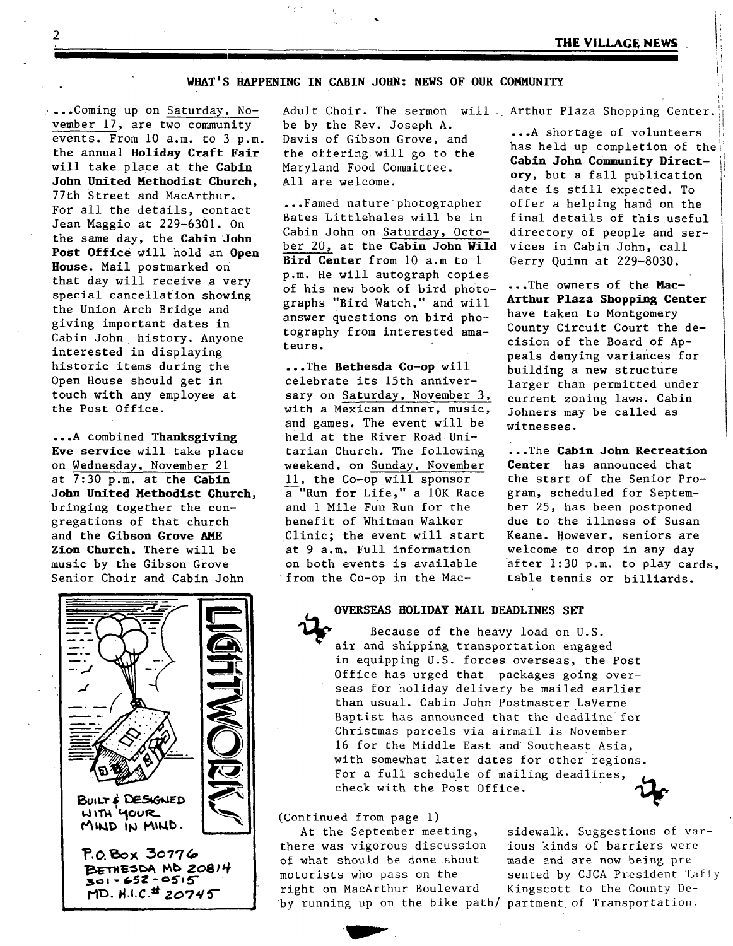### **WHAT'S HAPPENING IN CABIN JOHN: NEWS OF OUR COMMUNITY**

...Coming up on Saturday, November  $17$ , are two community events. From 10 a.m. to 3 p.m. the annual Holiday Craft Fair will take place at the Cabin John **United Hethodist** Church, 77th Street and MacArthur. For all the details, contact Jean Maggio at 229-6301. On the same day, the Cabin John **Post** office will hold an Open **House.** Mail postmarked on that day will receive a very special cancellation showing the Union Arch Bridge and giving important dates in Cabin John history. Anyone interested in displaying historic items during the Open House should get in touch with any employee at the Post Office.

...A combined Thanksgiving **Eve service** will take place on Wednesday, November 21 at 7:30 p.m. at the Cabin John **United Hethodist** Church, bringing together the congregations of that church and the **Gibson Grove AME Zion** Church. There will be music by the Gibson Grove Senior Choir and Cabin John



Adult Choir. The sermon will Arthur Plaza Shopping Center.  $\vert\vert$ be by the Rev. Joseph A. Davis of Gibson Grove, and the offering will go to the Maryland Food Committee. All are welcome.

...Famed nature photographer Bates Littlehales will be in Cabin John on Saturday, October 20, at the Cabin John Wild vices in Cabin John, call Bird Center from 10 a.m to 1 Gerry Quinn at 229-8030. p.m. He will autograph copies of his new book of bird photo- ... The owners of the Mac-<br>graphs "Bird Watch " and will Arthur Plaza Shopping Center graphs "Bird Watch," and will answer questions on bird photography from interested amateurs.

**...The Bethesda Co-op** will celebrate its 15th anniversary on Saturday, November 3, with a Mexican dinner, music, and games. The event will be held at the River Road Unitarian Church. The following weekend, on Sunday, November ii, the Co-op will sponsor a "Run for Life," a 10K Race and i Mile Fun Run for the benefit of Whitman Walker Clinic; the event will start at 9 a.m. Full information on both events is available from the Co-op in the Mac-

...A shortage of volunteers has held up completion of the **Cabin John Community Direct**ory, but a fall publication date is still expected. To offer a helping hand on the final details of this useful directory of people and ser-

have taken to Montgomery County Circuit Court the decision of the Board of Appeals denying variances for building a new structure larger than permitted under current zoning laws. Cabin Johners may be called as witnesses.

...The Cabin John **Recreation**  Center has announced that the start of the Senior Program, scheduled for September 25, has been postponed due to the illness of Susan Keane. However, seniors are welcome to drop in any day after 1:30 p.m. to play cards, table tennis or billiards.

### **OVERSEAS HOLIDAY MAIL DEADLINES SET**

Because of the heavy load on U.S. air and shipping transportation engaged in equipping U.S. forces overseas, the Post Office has urged that packages going overseas for holiday delivery be mailed earlier than usual. Cabin John Postmaster LaVerne Baptist has announced that the deadline for Christmas parcels via airmail is November 16 for the Middle East and Southeast Asia, with somewhat later dates for other regions. For a full schedule of mailing deadlines, check with the Post Office.

(Continued from page I)

**IP"** 

At the September meeting, there was vigorous discussion of what should be done about motorists who pass on the right on MacArthur Boulevard by running up on the bike path/ partment of Transportation.

sidewalk. Suggestions of various kinds of barriers were made and are now being presented by CJCA President Taffy Kingscott to the County De-

 $\overline{2}$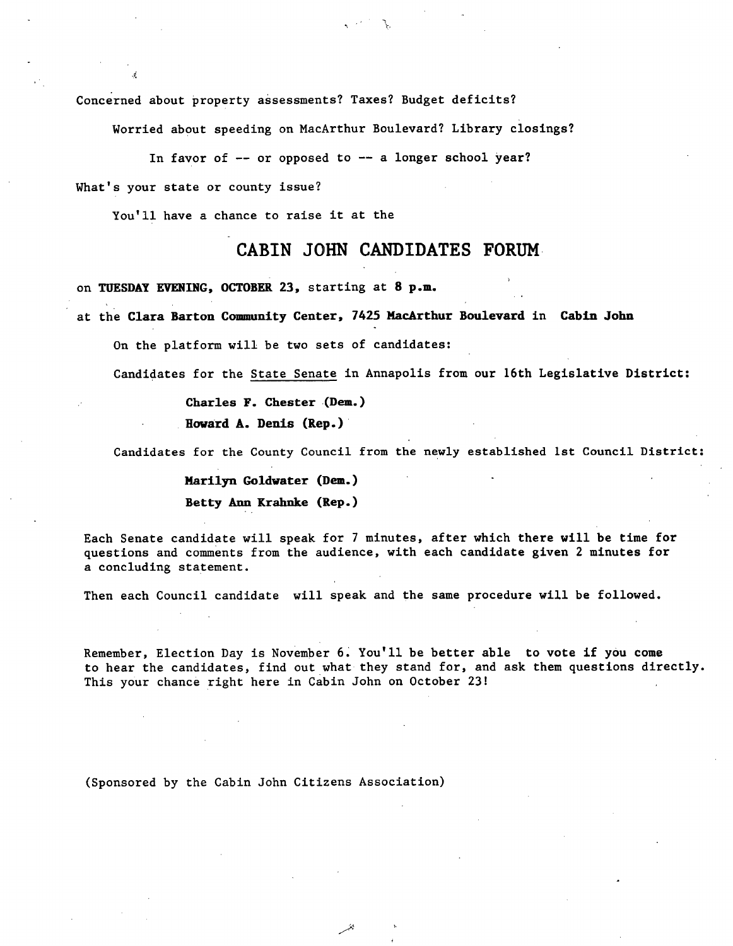Concerned about property assessments? Taxes? Budget deficits?

Worried about speeding on MacArthur Boulevard? Library closings?

In favor of  $-$ - or opposed to  $-$  a longer school year?

What's your state or county issue?

You'll have a chance to raise it at the

### **CABIN JOHN CANDIDATES FORUM**

on TUESDAY EVENING, OCTOBER 23, starting at 8 p.m.

at the Clara Barton Community Center, 7425 MacArthur Boulevard in Cabin John

On the platform will be two sets of candidates:

Candidates for the State Senate in Annapolis from our 16th Legislative District:

**Charles F. Chester (Dem.)** 

**Howard A. Denis (Rep.)** 

Candidates for the County Council from the newly established Ist Council District:

Marilyn Goldwater (Dem.) Betty Ann Krahnke (Rep.)

Each Senate candidate will speak for 7 minutes, after which there will be time for questions and comments from the audience, with each candidate given 2 minutes for a concluding statement.

Then each Council candidate will speak and the same procedure will be followed.

Remember, Election Day is November 6. You'll be better able to vote if you come to hear the candidates, find out what they stand for, and ask them questions directly. This your chance right here in Cabin John on October 23!

(Sponsored by the Cabin John Citizens Association)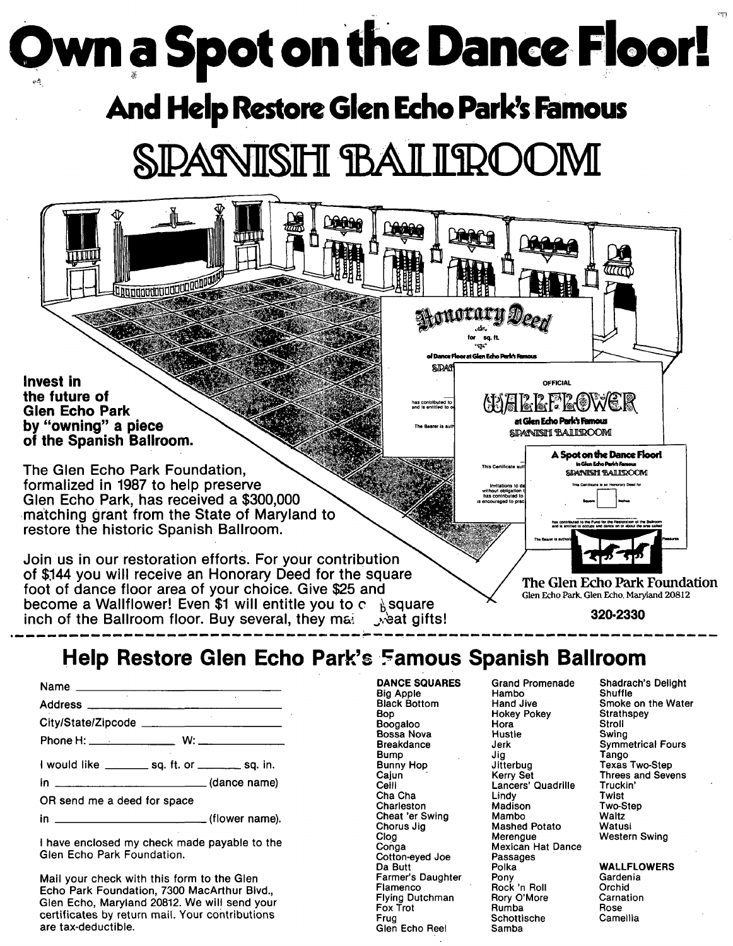# **Own a Spot on the Dance Floor!**

## **And Help Restore Glen Echo Park's Famous**

# **SPARVISHI BAI IROC**

**Invest in the future of Glen Echo Park by "owning" a piece of the Spanish Ballroom,** 

**The Glen Echo Park Foundation. formalized in 1987 to help preserve Glen Echo Park, has received a \$300,000 matching grant from the State of Maryland to restore the historic Spanish Ballroom.** 

**Join us in our restoration efforts. For your contribution of \$,144 you will receive an Honorary Deed for the square foot of dance floor area of your choice. Give \$25 and become a Wallflower! Even \$1 will entitle you to c**  $\frac{1}{b}$  square inch of the Ballroom floor. Buy several, they may see gifts! inch of the Ballroom floor. Buy several, they main

**SDANISH BALIROOM** A Spot on the Dance Floorl  $S$ Patni $S$ H $\,$  Raill $\,$ R $\rm CO$ M $\,$ Invitations to da **contract measure of the Certificate is an Honorary D** without obligation  $t$ has contributed to **The Glen Echo Park Foundation**  Glen Echo Park. Glen Echo, Maryland 20812

 $\frac{1}{\sqrt{1-\frac{1}{2}}\sqrt{1-\frac{1}{2}}}$ 

at Glen Echo Park's Famous

**for** sq. ft. of Dance Floor at Glen Echo Park's F

Atono

**SIDAY** 

**320-2330** 

### **Help Restore Glen Echo Park's Famous Spanish Ballroom**

| I would like _________ sq. ft. or _________ sq. in. |  |
|-----------------------------------------------------|--|
| in ___________________________(dance name)          |  |
| OR send me a deed for space                         |  |
|                                                     |  |

I have enclosed my check made payable to the Glen Echo Park Foundation.

Mail your check with this form to the Glen Echo Park Foundation, 7300 MacArthur Blvd., Glen Echo, Maryland 20812. We will send your certificates by return mail. Your contributions are tax-deductible.

Big Apple Flambo<br>Black Bottom Hand Jive Boogaloo Hora Stroll Bossa Nova<br>Breakdance Must Breakdance Jerk Symmetrical Fours Bump Jig Jig Tango<br>Bunny Hop Jitterbug Texas Bunny Hop Jitterbug Texas Two-Step Cajun Kerry Set Threes and Sevens Cha Cha Lindy Twist<br>Charleston Madison Two-Step Charleston Madison Two-S<br>Cheat 'er Swing Mambo Naltz Cheat 'er Swing Mambo Waltz<br>Chorus Jig Mashed Potato Watusi Chorus Jig Mashed Potato<br>
Clog Merengue Clog Merengue Western Swing<br>
Conga Mexican Hat Dance Cotton-eyed Joe Passa<br>Da Butt Polka Farmer's Daughter Pony Carden<br>Flamenco Rock 'n Roll Corchid Flying Dutchman Rory O'More Carna<br>Fox Trot Rumba Rose

Glen Echo Reel

Hokey Pokey Strath<br>
Hora Stroll Lancers' Quadrille Truck<br>Lindy times Twist Mexican Hat Dance<br>Passages Polka WALLFLOWERS<br>Pony Gardenia Flamenco Rock 'n Roll Corchid<br> **Flamenco Rock Carnation** Fox Trot Rumba Rose Schottische<br>Samba

DANCE SQUARES Grand Promenade Shadrach's Delight Black Bottom Hand Jive Smoke on the Water<br>Bop Hokey Pokey Strathspey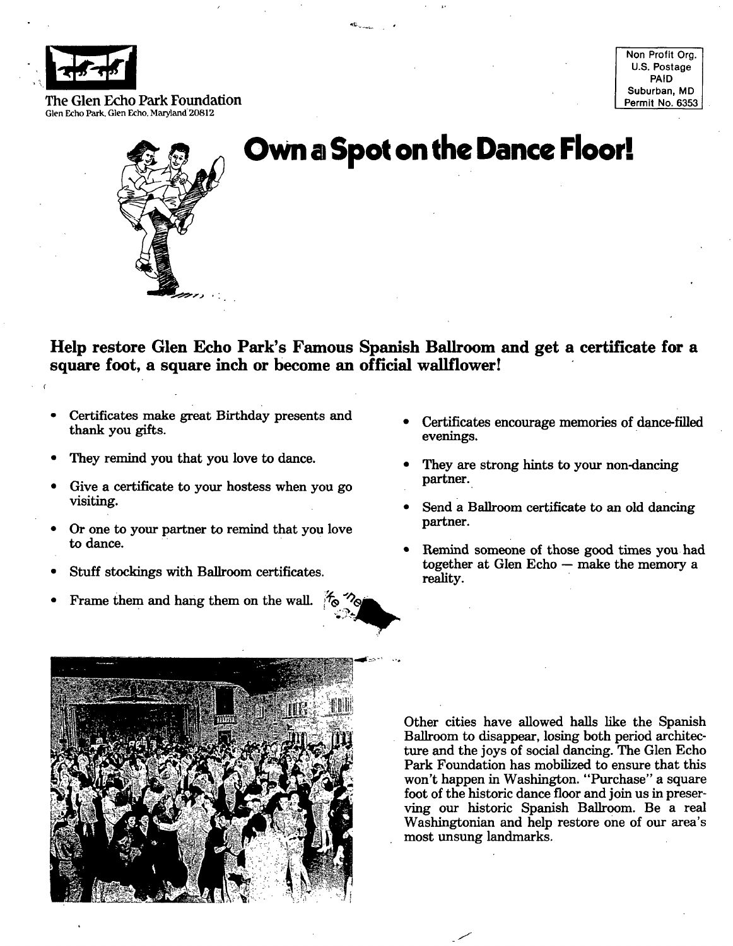

Non Profit Org. U.S. Postage PAID Suburban, MD Permit No. 6353

The Glen Echo Park Foundation Glen Echo Park. Glen Echo, Maryland 20812



### **Own a Spot on the Dance Floor:.**

**Help restore Glen Echo Park's Famous Spanish Ballroom and get a certificate for a square foot, a square inch or become an official wallflower!** 

- Certificates make great Birthday presents and Certificates encourage memories of dance-filled thank you gifts. The contract of the contract of the contract of the contract of the contract of the contract of the contract of the contract of the contract of the contract of the contract of the contract of the contract
- 
- Give a certificate to your hostess when you go partner.
- Or one to your partner to remind that you love partner.
- Stuff stockings with Ballroom certificates. The contraction of the contraction of the reality.
- Frame them and hang them on the wall.  $\sqrt[4]{\infty}$
- 
- They remind you that you love to dance.<br>
 They are strong hints to your non-dancing
- visiting. Send a Ballroom certificate to an old dancing
- to dance. Remind someone of those good times you had  $together$  at Glen Echo  $-$  make the memory a



Other cities have allowed halls like the Spanish Ballroom to disappear, losing both period architecture and the joys of social dancing. The Glen Echo Park Foundation has mobilized to ensure that this won't happen in Washington. "Purchase" a square foot of the historic dance floor and join us in preserving our historic Spanish Ballroom. Be a real Washingtonian and help restore one of our area's most unsung landmarks.

J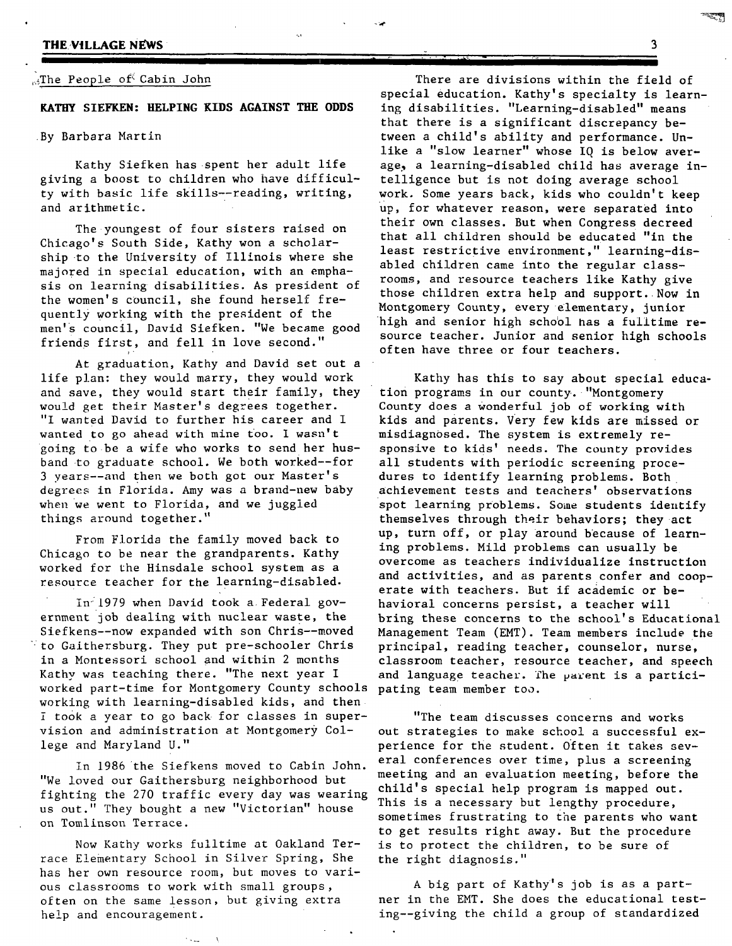### **THE VILLAGE NEWS**

### $\mathbb{R}$ . The People of Cabin John

**KATHY SIEFKEN: HELPING KIDS AGAINST THE ODDS** 

### By Barbara Martin

Kathy Siefken has spent her adult life giving a boost to children who have difficulty with basic life skills--reading, writing, and arithmetic.

The youngest of four sisters raised on Chicago's South Side, Kathy won a scholarship to the University of Illinois where she majored in special education, with an emphasis on learning disabilities. As president of the women's council, she found herself frequently working with the president of the men's council, David Siefken. "We became good friends first, and fell in love second."

At graduation, Kathy and David set out a life plan: they would marry, they would work and save, they would start their family, they would get their Master's degrees together. "I wanted David to further his career and I wanted to go ahead with mine too. I wasn't going to be a wife who works to send her husband to graduate school. We both worked--for 3 years--and then we both got our Master's degrees in Florida. Amy was a brand-new baby when we went to Florida, and we juggled things around together."

From Florida the family moved back to Chicago to be near the grandparents. Kathy worked for the Hinsdale school system as a resource teacher for the learning-disabled.

in:1979 when David took a Federal government job dealing with nuclear waste, the Siefkens--now expanded with son Chris--moved  $\mathbb{V}$  to Gaithersburg. They put pre-schooler Chris in a Montessori school and within 2 months Kathy was teaching there. "The next year I worked part-time for Montgomery County schools pating team member too. working with learning-disabled kids, and then 7 took a year to go back for classes in supervision and administration at Montgomery College and Maryland U."

in 1986 the Siefkens moved to Cabin John. "We loved our Gaithersburg neighborhood but fighting the 270 traffic every day was wearing us out." They bought a new "Victorian" house on Tomlinson Terrace.

Now Kathy works fulltime at Oakland Terrace Elementary School in Silver Spring, She has her own resource room, but moves to various classrooms to work with small groups, often on the same lesson, but giving extra help and encouragement.

There are divisions within the field of special education. Kathy's specialty is learning disabilities. "Learning-disabled" means *that* there is a significant discrepancy between a child's ability and performance. Unlike a "slow learner" whose IQ is below average, a learning-disabled child has average intelligence but is not doing average school work. Some years back, kids who couldn't keep up, for whatever reason, were separated into their own classes. But when Congress decreed that all children should be educated "in the least restrictive environment," learning-disabled children came into the regular classrooms, and resource teachers like Kathy give those children extra help and support. Now in Montgomery County, every elementary, junior high and senior high school has a fulltime resource teacher. Junior and senior high schools often have three or four teachers.

**II "" I " "" I'1 I lll'l** ....

Kathy has this to say about special education programs in our county. "Montgomery County does a Wonderful job of working with kids and parents. Very few kids are missed or misdiagnosed. The system is extremely responsive to kids' needs. The county provides all students with periodic screening procedures to identify learning problems. Both achievement tests and teachers' observations spot learning problems. Some students identify themselves through their behaviors; they act up, turn off, or play around because of learning problems. Mild problems can usually be overcome as teachers individualize instruction and activities, and as parents confer and cooperate with teachers. But if academic or behavioral concerns persist, a teacher will bring these concerns to the school's Educational Management Team (EMT). Team members include the principal, reading teacher, counselor, nurse, classroom teacher, resource teacher, and speech and language teacher. The parent is a partici-

"The team discusses concerns and works out strategies to make school a successful experience for the student. Often it takes several conferences over time, plus a screening meeting and an evaluation meeting, before the child's special help program is mapped out. This is a necessary but lengthy procedure, sometimes frustrating to the parents who want to get results right away. But the procedure is to protect the children, to be sure of the right diagnosis."

A big part of Kathy's job is as a partner in the EMT. She does the educational testing--giving the child a group of standardized

B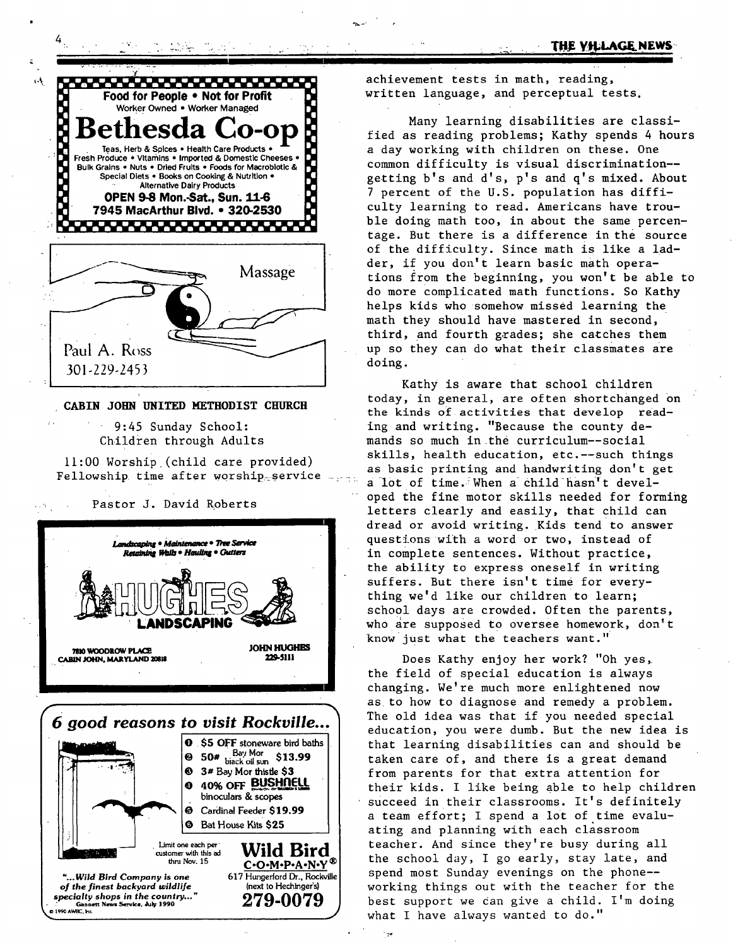

*. . :.. .. , \_..... ... .* 

#### CABIN JOHN UNITED METBODIST CBIIRCR

9:45 Sunday School: Children through Adults





achievement tests in math, reading, written language, and perceptual tests.

Many learning disabilities are classified as reading problems; Kathy spends 4 hours a day working with children on these. One common difficulty is visual discrimination- getting b's and d's, p's and q's mixed. About 7 percent of the U.S. population has difficulty learning to read. Americans have trouble doing math too, in about the same percentage. But there is a difference in the source of the difficulty. Since math is like a ladder, if you don't learn basic math operations from the beginning, you won't be able to do more Complicated math functions. So Kathy helps kids who somehow missed learning the math they should have mastered in second, third, and fourth grades; she catches them up so they can do what their classmates are doing.

Kathy is aware that school children today, in general, are often shortchanged on the kinds of activities that develop reading and writing. "Because the county demands so much in the curriculum--social ii:00 Worship (child care provided) skills, health education, etc.--such things Fellowship (child cale provided) as basic printing and handwriting don't get<br>Fellowship time after worship service a lot of time. When a child hasn't developed the fine motor skills needed for forming Pastor J. David Roberts **1999** Pred the line motor sails headed for form. dread or avoid writing. Kids tend to answer Landscaping • Maintenance • The Service **the service** questions with a word or two, instead of Restrictive Restriction of the sentences. Without practice, the ability to express oneself in writing suffers. But there isn't time for everything we'd like our children to learn; school days are crowded. Often the parents, **ING**  $\sum_{n=1}^{\infty}$  who are supposed to oversee homework, don't know just what the teachers want."

Does Kathy enjoy her work? "Oh yes, the field of special education is always changing. We're much more enlightened now as to how to diagnose and remedy a problem. **6** good reasons to visit Rockville... The old idea was that if you needed special education, you were dumb. But the new idea is **O** \$5 OFF stoneware bird baths that learning disabilities can and should be  $\Theta$  50\* biack oil sum \$13.99 **50#** back oils **513.99 taken care of, and there is a great demand 3# Bay Morthistle \$3 the same of the start of that extra attention for**  $\begin{array}{c|c|c|c|c} \text{① 3# Bay Mor this} \text{first} & \text{first} & \text{first} \\ \text{① 40% OFF BUSHMELL} & & & \text{first} & \text{first} \\ \text{① 4.0% OFF BUSHMELL} & & & \text{first} & \text{first} & \text{first} \\ \end{array}$  $\theta$  40% OFF BUSHILLE their kids. I like being able to help children binoculars & scopes  $\text{Conculars}\xspace$  a succeed in their classrooms. It's definitely Cardinal Feeder \$19.99  $\bullet$  cardinal recoer  $\circ$  19.99 a team effort; I spend a lot of time evalu-<br>  $\bullet$  BatHouse Kits \$25 ating and planning with each classroom Limit one each per  $\sum_{\text{cuts} \text{ from } t}$  Unit one each per  $\sum_{\text{cuts} \text{ from } t}$  all omer with this ad **WIIQ BITQ** the school day, I go early, stay late, and the Nov. 15 **C-O-M-P-A-N-Y** the school day, I go early, stay late, and *~...Wild B|rd Company is one* 617 Hungerford Dr., Rockv~e spend most Sunday evenings on the phone- of the finest backyard wildlife (next to Hechinger's) working things out with the teacher for the specialty shops in the country..." **279.0079** best support we can give a child. I'm doing specially shops in the country..."<br>"  $\frac{1}{279}$ -0079 best support we dan give a child. I'm doing what I have always wanted to do."

مبدد